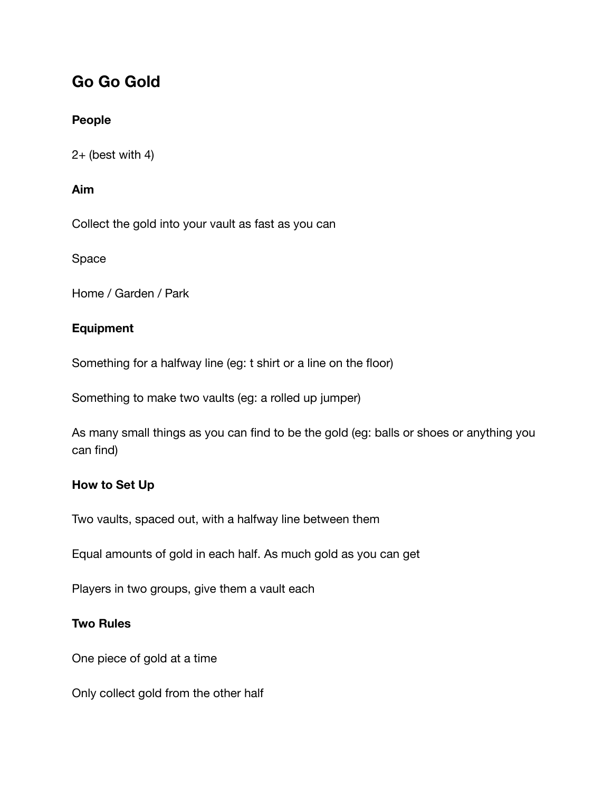# **Go Go Gold**

## **People**

 $2+$  (best with 4)

## **Aim**

Collect the gold into your vault as fast as you can

Space

Home / Garden / Park

## **Equipment**

Something for a halfway line (eg: t shirt or a line on the floor)

Something to make two vaults (eg: a rolled up jumper)

As many small things as you can find to be the gold (eg: balls or shoes or anything you can find)

## **How to Set Up**

Two vaults, spaced out, with a halfway line between them

Equal amounts of gold in each half. As much gold as you can get

Players in two groups, give them a vault each

## **Two Rules**

One piece of gold at a time

Only collect gold from the other half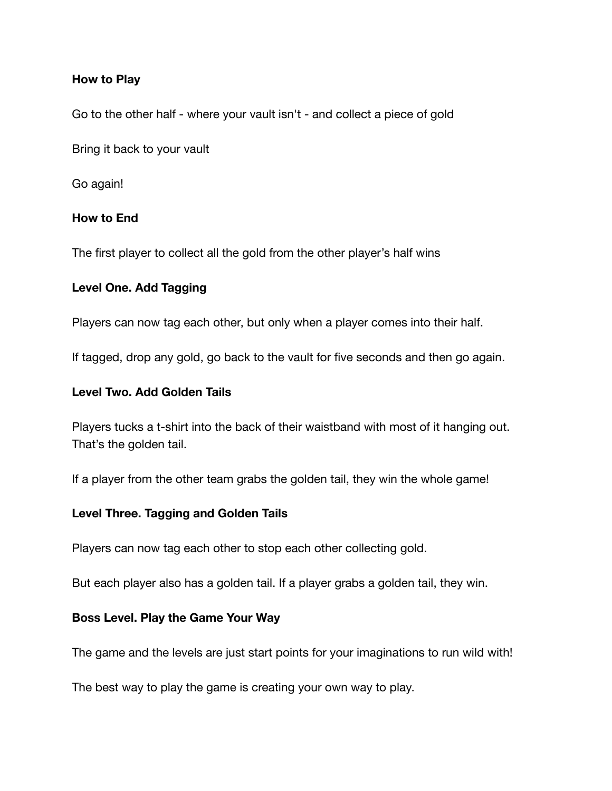#### **How to Play**

Go to the other half - where your vault isn't - and collect a piece of gold

Bring it back to your vault

Go again!

#### **How to End**

The first player to collect all the gold from the other player's half wins

#### **Level One. Add Tagging**

Players can now tag each other, but only when a player comes into their half.

If tagged, drop any gold, go back to the vault for five seconds and then go again.

#### **Level Two. Add Golden Tails**

Players tucks a t-shirt into the back of their waistband with most of it hanging out. That's the golden tail.

If a player from the other team grabs the golden tail, they win the whole game!

#### **Level Three. Tagging and Golden Tails**

Players can now tag each other to stop each other collecting gold.

But each player also has a golden tail. If a player grabs a golden tail, they win.

#### **Boss Level. Play the Game Your Way**

The game and the levels are just start points for your imaginations to run wild with!

The best way to play the game is creating your own way to play.